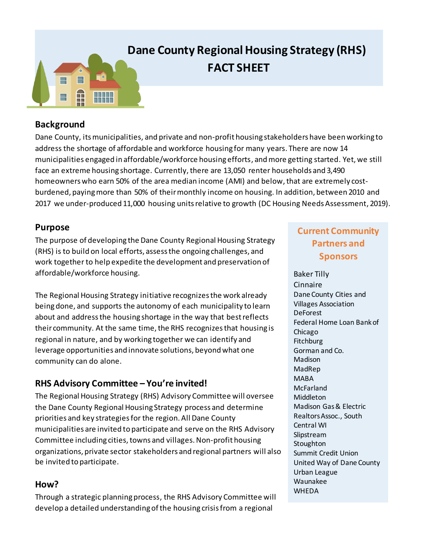

# **Dane County Regional Housing Strategy (RHS) FACT SHEET**

#### **Background**

Dane County, its municipalities, and private and non-profit housing stakeholders have been working to address the shortage of affordable and workforce housing for many years. There are now 14 municipalities engaged in affordable/workforce housing efforts, and more getting started. Yet, we still face an extreme housing shortage. Currently, there are 13,050 renter households and 3,490 homeowners who earn 50% of the area median income (AMI) and below, that are extremely costburdened, paying more than 50% of their monthly income on housing. In addition, between 2010 and 2017 we under-produced 11,000 housing units relative to growth (DC Housing Needs Assessment, 2019).

#### **Purpose**

The purpose of developing the Dane County Regional Housing Strategy (RHS) is to build on local efforts, assess the ongoing challenges, and work together to help expedite the development and preservation of affordable/workforce housing.

The Regional Housing Strategy initiative recognizes the work already being done, and supports the autonomy of each municipality to learn about and address the housing shortage in the way that best reflects their community. At the same time, the RHS recognizes that housing is regional in nature, and by working together we can identify and leverage opportunities and innovate solutions, beyond what one community can do alone.

## **RHS Advisory Committee – You're invited!**

The Regional Housing Strategy (RHS) Advisory Committee will oversee the Dane County Regional Housing Strategy process and determine priorities and key strategies for the region. All Dane County municipalities are invited to participate and serve on the RHS Advisory Committee including cities, towns and villages. Non-profit housing organizations, private sector stakeholders and regional partners will also be invited to participate.

#### **How?**

Through a strategic planning process, the RHS Advisory Committee will develop a detailed understanding of the housing crisisfrom a regional

# **Current Community Partners and Sponsors**

Baker Tilly Cinnaire Dane County Cities and Villages Association DeForest Federal Home Loan Bank of Chicago **Fitchburg** Gorman and Co. Madison MadRep MABA McFarland Middleton Madison Gas & Electric Realtors Assoc., South Central WI Slipstream **Stoughton** Summit Credit Union United Way of Dane County Urban League Waunakee WHEDA